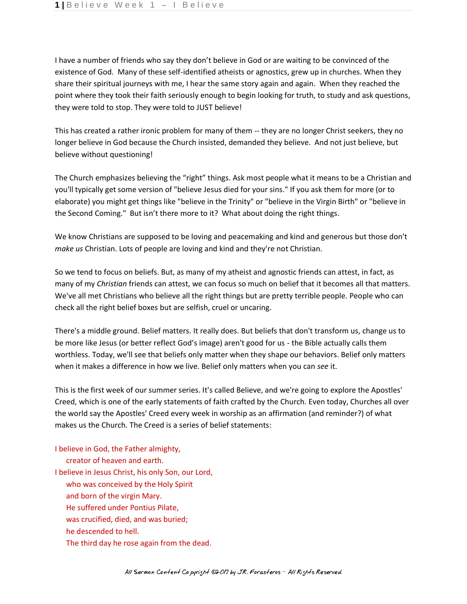I have a number of friends who say they don't believe in God or are waiting to be convinced of the existence of God. Many of these self-identified atheists or agnostics, grew up in churches. When they share their spiritual journeys with me, I hear the same story again and again. When they reached the point where they took their faith seriously enough to begin looking for truth, to study and ask questions, they were told to stop. They were told to JUST believe!

This has created a rather ironic problem for many of them -- they are no longer Christ seekers, they no longer believe in God because the Church insisted, demanded they believe. And not just believe, but believe without questioning!

The Church emphasizes believing the "right" things. Ask most people what it means to be a Christian and you'll typically get some version of "believe Jesus died for your sins." If you ask them for more (or to elaborate) you might get things like "believe in the Trinity" or "believe in the Virgin Birth" or "believe in the Second Coming." But isn't there more to it? What about doing the right things.

We know Christians are supposed to be loving and peacemaking and kind and generous but those don't *make us* Christian. Lots of people are loving and kind and they're not Christian.

So we tend to focus on beliefs. But, as many of my atheist and agnostic friends can attest, in fact, as many of my *Christian* friends can attest, we can focus so much on belief that it becomes all that matters. We've all met Christians who believe all the right things but are pretty terrible people. People who can check all the right belief boxes but are selfish, cruel or uncaring.

There's a middle ground. Belief matters. It really does. But beliefs that don't transform us, change us to be more like Jesus (or better reflect God's image) aren't good for us - the Bible actually calls them worthless. Today, we'll see that beliefs only matter when they shape our behaviors. Belief only matters when it makes a difference in how we live. Belief only matters when you can *see* it.

This is the first week of our summer series. It's called Believe, and we're going to explore the Apostles' Creed, which is one of the early statements of faith crafted by the Church. Even today, Churches all over the world say the Apostles' Creed every week in worship as an affirmation (and reminder?) of what makes us the Church. The Creed is a series of belief statements:

I believe in God, the Father almighty,

 creator of heaven and earth. I believe in Jesus Christ, his only Son, our Lord, who was conceived by the Holy Spirit and born of the virgin Mary.

- He suffered under Pontius Pilate,
- was crucified, died, and was buried;
- he descended to hell.
- The third day he rose again from the dead.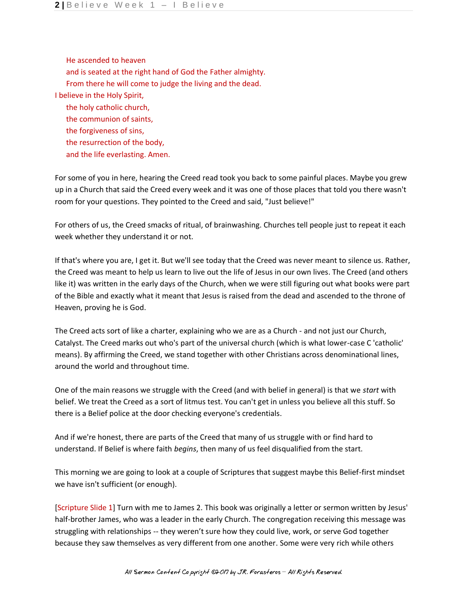He ascended to heaven and is seated at the right hand of God the Father almighty. From there he will come to judge the living and the dead. I believe in the Holy Spirit, the holy catholic church, the communion of saints, the forgiveness of sins, the resurrection of the body, and the life everlasting. Amen.

For some of you in here, hearing the Creed read took you back to some painful places. Maybe you grew up in a Church that said the Creed every week and it was one of those places that told you there wasn't room for your questions. They pointed to the Creed and said, "Just believe!"

For others of us, the Creed smacks of ritual, of brainwashing. Churches tell people just to repeat it each week whether they understand it or not.

If that's where you are, I get it. But we'll see today that the Creed was never meant to silence us. Rather, the Creed was meant to help us learn to live out the life of Jesus in our own lives. The Creed (and others like it) was written in the early days of the Church, when we were still figuring out what books were part of the Bible and exactly what it meant that Jesus is raised from the dead and ascended to the throne of Heaven, proving he is God.

The Creed acts sort of like a charter, explaining who we are as a Church - and not just our Church, Catalyst. The Creed marks out who's part of the universal church (which is what lower-case C 'catholic' means). By affirming the Creed, we stand together with other Christians across denominational lines, around the world and throughout time.

One of the main reasons we struggle with the Creed (and with belief in general) is that we *start* with belief. We treat the Creed as a sort of litmus test. You can't get in unless you believe all this stuff. So there is a Belief police at the door checking everyone's credentials.

And if we're honest, there are parts of the Creed that many of us struggle with or find hard to understand. If Belief is where faith *begins*, then many of us feel disqualified from the start.

This morning we are going to look at a couple of Scriptures that suggest maybe this Belief-first mindset we have isn't sufficient (or enough).

[Scripture Slide 1] Turn with me to James 2. This book was originally a letter or sermon written by Jesus' half-brother James, who was a leader in the early Church. The congregation receiving this message was struggling with relationships -- they weren't sure how they could live, work, or serve God together because they saw themselves as very different from one another. Some were very rich while others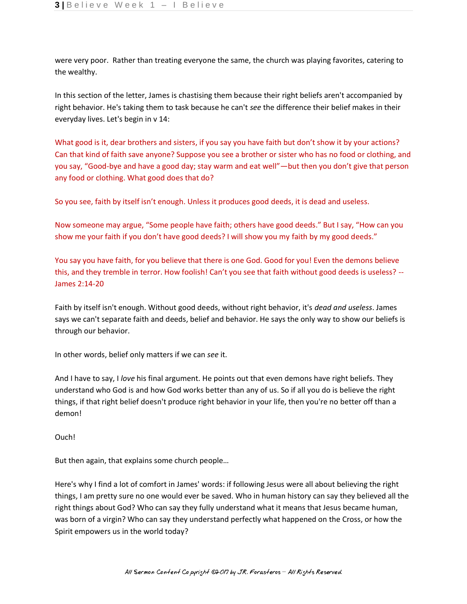were very poor. Rather than treating everyone the same, the church was playing favorites, catering to the wealthy.

In this section of the letter, James is chastising them because their right beliefs aren't accompanied by right behavior. He's taking them to task because he can't *see* the difference their belief makes in their everyday lives. Let's begin in v 14:

What good is it, dear brothers and sisters, if you say you have faith but don't show it by your actions? Can that kind of faith save anyone? Suppose you see a brother or sister who has no food or clothing, and you say, "Good-bye and have a good day; stay warm and eat well"—but then you don't give that person any food or clothing. What good does that do?

So you see, faith by itself isn't enough. Unless it produces good deeds, it is dead and useless.

Now someone may argue, "Some people have faith; others have good deeds." But I say, "How can you show me your faith if you don't have good deeds? I will show you my faith by my good deeds."

You say you have faith, for you believe that there is one God. Good for you! Even the demons believe this, and they tremble in terror. How foolish! Can't you see that faith without good deeds is useless? --James 2:14-20

Faith by itself isn't enough. Without good deeds, without right behavior, it's *dead and useless*. James says we can't separate faith and deeds, belief and behavior. He says the only way to show our beliefs is through our behavior.

In other words, belief only matters if we can *see* it.

And I have to say, I *love* his final argument. He points out that even demons have right beliefs. They understand who God is and how God works better than any of us. So if all you do is believe the right things, if that right belief doesn't produce right behavior in your life, then you're no better off than a demon!

Ouch!

But then again, that explains some church people…

Here's why I find a lot of comfort in James' words: if following Jesus were all about believing the right things, I am pretty sure no one would ever be saved. Who in human history can say they believed all the right things about God? Who can say they fully understand what it means that Jesus became human, was born of a virgin? Who can say they understand perfectly what happened on the Cross, or how the Spirit empowers us in the world today?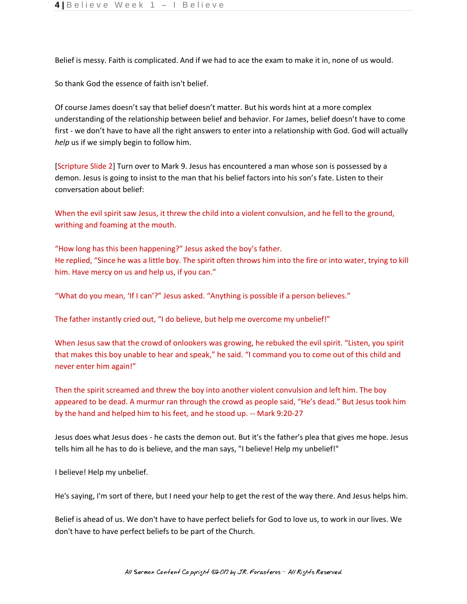Belief is messy. Faith is complicated. And if we had to ace the exam to make it in, none of us would.

So thank God the essence of faith isn't belief.

Of course James doesn't say that belief doesn't matter. But his words hint at a more complex understanding of the relationship between belief and behavior. For James, belief doesn't have to come first - we don't have to have all the right answers to enter into a relationship with God. God will actually *help* us if we simply begin to follow him.

[Scripture Slide 2] Turn over to Mark 9. Jesus has encountered a man whose son is possessed by a demon. Jesus is going to insist to the man that his belief factors into his son's fate. Listen to their conversation about belief:

When the evil spirit saw Jesus, it threw the child into a violent convulsion, and he fell to the ground, writhing and foaming at the mouth.

"How long has this been happening?" Jesus asked the boy's father. He replied, "Since he was a little boy. The spirit often throws him into the fire or into water, trying to kill him. Have mercy on us and help us, if you can."

"What do you mean, 'If I can'?" Jesus asked. "Anything is possible if a person believes."

The father instantly cried out, "I do believe, but help me overcome my unbelief!"

When Jesus saw that the crowd of onlookers was growing, he rebuked the evil spirit. "Listen, you spirit that makes this boy unable to hear and speak," he said. "I command you to come out of this child and never enter him again!"

Then the spirit screamed and threw the boy into another violent convulsion and left him. The boy appeared to be dead. A murmur ran through the crowd as people said, "He's dead." But Jesus took him by the hand and helped him to his feet, and he stood up. -- Mark 9:20-27

Jesus does what Jesus does - he casts the demon out. But it's the father's plea that gives me hope. Jesus tells him all he has to do is believe, and the man says, "I believe! Help my unbelief!"

I believe! Help my unbelief.

He's saying, I'm sort of there, but I need your help to get the rest of the way there. And Jesus helps him.

Belief is ahead of us. We don't have to have perfect beliefs for God to love us, to work in our lives. We don't have to have perfect beliefs to be part of the Church.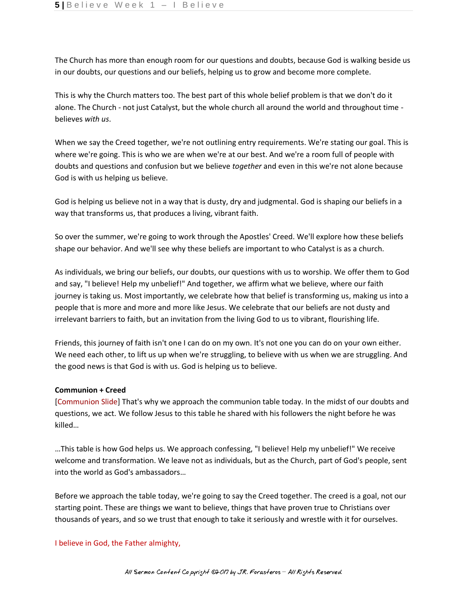The Church has more than enough room for our questions and doubts, because God is walking beside us in our doubts, our questions and our beliefs, helping us to grow and become more complete.

This is why the Church matters too. The best part of this whole belief problem is that we don't do it alone. The Church - not just Catalyst, but the whole church all around the world and throughout time believes *with us*.

When we say the Creed together, we're not outlining entry requirements. We're stating our goal. This is where we're going. This is who we are when we're at our best. And we're a room full of people with doubts and questions and confusion but we believe *together* and even in this we're not alone because God is with us helping us believe.

God is helping us believe not in a way that is dusty, dry and judgmental. God is shaping our beliefs in a way that transforms us, that produces a living, vibrant faith.

So over the summer, we're going to work through the Apostles' Creed. We'll explore how these beliefs shape our behavior. And we'll see why these beliefs are important to who Catalyst is as a church.

As individuals, we bring our beliefs, our doubts, our questions with us to worship. We offer them to God and say, "I believe! Help my unbelief!" And together, we affirm what we believe, where our faith journey is taking us. Most importantly, we celebrate how that belief is transforming us, making us into a people that is more and more and more like Jesus. We celebrate that our beliefs are not dusty and irrelevant barriers to faith, but an invitation from the living God to us to vibrant, flourishing life.

Friends, this journey of faith isn't one I can do on my own. It's not one you can do on your own either. We need each other, to lift us up when we're struggling, to believe with us when we are struggling. And the good news is that God is with us. God is helping us to believe.

## **Communion + Creed**

[Communion Slide] That's why we approach the communion table today. In the midst of our doubts and questions, we act. We follow Jesus to this table he shared with his followers the night before he was killed…

…This table is how God helps us. We approach confessing, "I believe! Help my unbelief!" We receive welcome and transformation. We leave not as individuals, but as the Church, part of God's people, sent into the world as God's ambassadors…

Before we approach the table today, we're going to say the Creed together. The creed is a goal, not our starting point. These are things we want to believe, things that have proven true to Christians over thousands of years, and so we trust that enough to take it seriously and wrestle with it for ourselves.

## I believe in God, the Father almighty,